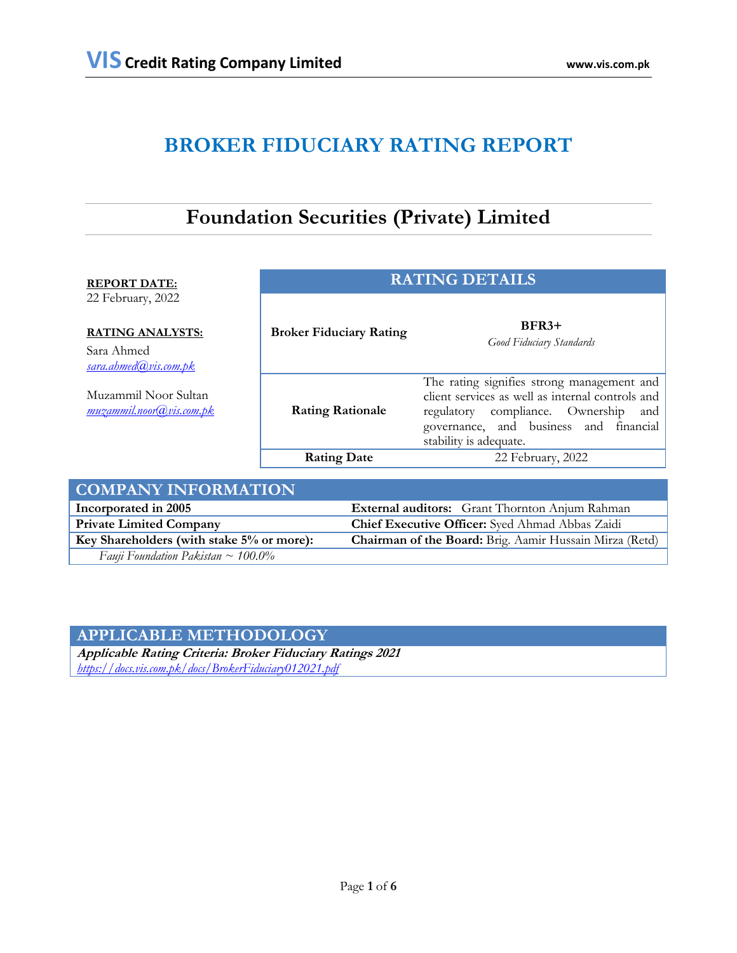# **BROKER FIDUCIARY RATING REPORT**

# **Foundation Securities (Private) Limited**

| <b>REPORT DATE:</b>                                                                 | <b>RATING DETAILS</b>          |                                                                                                                                                                                                               |  |
|-------------------------------------------------------------------------------------|--------------------------------|---------------------------------------------------------------------------------------------------------------------------------------------------------------------------------------------------------------|--|
| 22 February, 2022<br><b>RATING ANALYSTS:</b><br>Sara Ahmed<br>sara.ahmed@vis.com.pk | <b>Broker Fiduciary Rating</b> | $BFR3+$<br>Good Fiduciary Standards                                                                                                                                                                           |  |
| Muzammil Noor Sultan<br>muzammil.noor@vis.com.pk                                    | <b>Rating Rationale</b>        | The rating signifies strong management and<br>client services as well as internal controls and<br>regulatory compliance. Ownership<br>and<br>governance, and business and financial<br>stability is adequate. |  |
|                                                                                     | <b>Rating Date</b>             | 22 February, 2022                                                                                                                                                                                             |  |
| <b>COMPANY INFORMATION</b>                                                          |                                |                                                                                                                                                                                                               |  |

| COMPANY INFORMATION                       |                                                                |
|-------------------------------------------|----------------------------------------------------------------|
| Incorporated in 2005                      | <b>External auditors:</b> Grant Thornton Anjum Rahman          |
| <b>Private Limited Company</b>            | Chief Executive Officer: Syed Ahmad Abbas Zaidi                |
| Key Shareholders (with stake 5% or more): | <b>Chairman of the Board:</b> Brig. Aamir Hussain Mirza (Retd) |
| Fauji Foundation Pakistan ~ $100.0\%$     |                                                                |

# **APPLICABLE METHODOLOGY**

**Applicable Rating Criteria: Broker Fiduciary Ratings 2021** *<https://docs.vis.com.pk/docs/BrokerFiduciary012021.pdf>*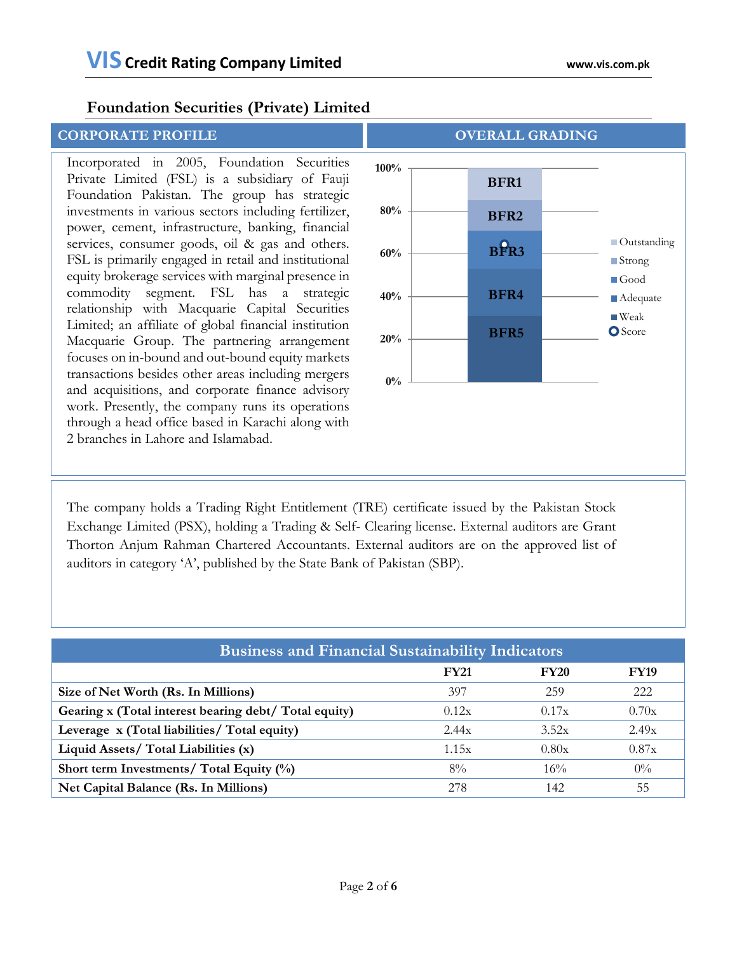Incorporated in 2005, Foundation Securities Private Limited (FSL) is a subsidiary of Fauji Foundation Pakistan. The group has strategic investments in various sectors including fertilizer, power, cement, infrastructure, banking, financial services, consumer goods, oil & gas and others. FSL is primarily engaged in retail and institutional equity brokerage services with marginal presence in commodity segment. FSL has a strategic relationship with Macquarie Capital Securities Limited; an affiliate of global financial institution Macquarie Group. The partnering arrangement focuses on in-bound and out-bound equity markets transactions besides other areas including mergers and acquisitions, and corporate finance advisory work. Presently, the company runs its operations through a head office based in Karachi along with 2 branches in Lahore and Islamabad.



The company holds a Trading Right Entitlement (TRE) certificate issued by the Pakistan Stock Exchange Limited (PSX), holding a Trading & Self- Clearing license. External auditors are Grant Thorton Anjum Rahman Chartered Accountants. External auditors are on the approved list of auditors in category 'A', published by the State Bank of Pakistan (SBP).

| <b>Business and Financial Sustainability Indicators</b> |             |             |             |  |  |  |
|---------------------------------------------------------|-------------|-------------|-------------|--|--|--|
|                                                         | <b>FY21</b> | <b>FY20</b> | <b>FY19</b> |  |  |  |
| Size of Net Worth (Rs. In Millions)                     | 397         | 259         | 222         |  |  |  |
| Gearing x (Total interest bearing debt/ Total equity)   | 0.12x       | 0.17x       | 0.70x       |  |  |  |
| Leverage x (Total liabilities/ Total equity)            | 2.44x       | 3.52x       | 2.49x       |  |  |  |
| Liquid Assets/ Total Liabilities (x)                    | 1.15x       | 0.80x       | 0.87x       |  |  |  |
| Short term Investments/ Total Equity (%)                | $8\%$       | 16%         | $0\%$       |  |  |  |
| Net Capital Balance (Rs. In Millions)                   | 278         | 142         | 55          |  |  |  |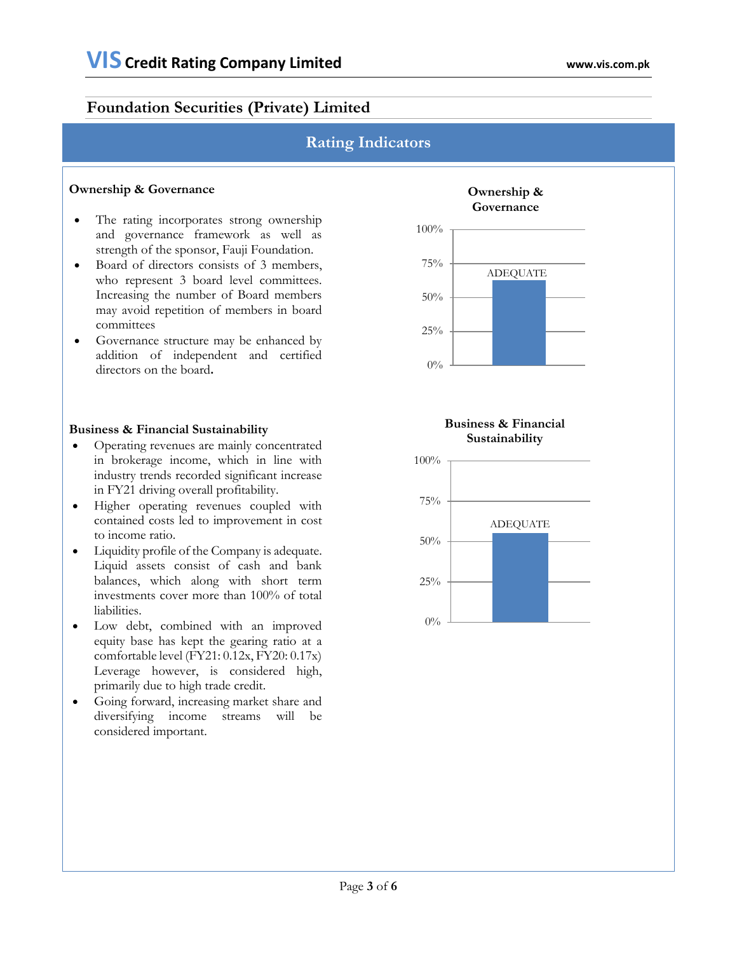# **Rating Indicators**

#### **Ownership & Governance**

- The rating incorporates strong ownership and governance framework as well as strength of the sponsor, Fauji Foundation.
- Board of directors consists of 3 members, who represent 3 board level committees. Increasing the number of Board members may avoid repetition of members in board committees
- Governance structure may be enhanced by addition of independent and certified directors on the board**.**

#### **Business & Financial Sustainability**

- Operating revenues are mainly concentrated in brokerage income, which in line with industry trends recorded significant increase in FY21 driving overall profitability.
- Higher operating revenues coupled with contained costs led to improvement in cost to income ratio.
- Liquidity profile of the Company is adequate. Liquid assets consist of cash and bank balances, which along with short term investments cover more than 100% of total liabilities.
- Low debt, combined with an improved equity base has kept the gearing ratio at a comfortable level (FY21: 0.12x, FY20: 0.17x) Leverage however, is considered high, primarily due to high trade credit.
- Going forward, increasing market share and diversifying income streams will be considered important.



#### **Business & Financial Sustainability**

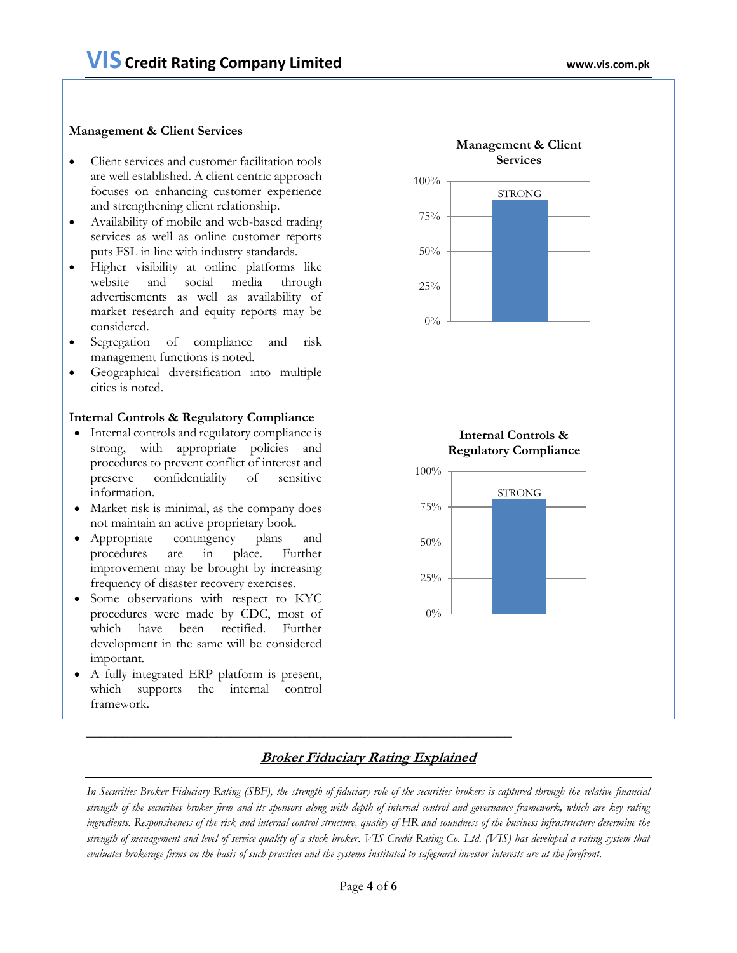#### **Management & Client Services**

- Client services and customer facilitation tools are well established. A client centric approach focuses on enhancing customer experience and strengthening client relationship.
- Availability of mobile and web-based trading services as well as online customer reports puts FSL in line with industry standards.
- Higher visibility at online platforms like website and social media through advertisements as well as availability of market research and equity reports may be considered.
- Segregation of compliance and risk management functions is noted.
- Geographical diversification into multiple cities is noted.

#### **Internal Controls & Regulatory Compliance**

- Internal controls and regulatory compliance is strong, with appropriate policies and procedures to prevent conflict of interest and preserve confidentiality of sensitive information.
- Market risk is minimal, as the company does not maintain an active proprietary book.
- Appropriate contingency plans and procedures are in place. Further improvement may be brought by increasing frequency of disaster recovery exercises.
- Some observations with respect to KYC procedures were made by CDC, most of which have been rectified. Further development in the same will be considered important.
- A fully integrated ERP platform is present, which supports the internal control framework.







### **Broker Fiduciary Rating Explained**

In Securities Broker Fiduciary Rating (SBF), the strength of fiduciary role of the securities brokers is captured through the relative financial *strength of the securities broker firm and its sponsors along with depth of internal control and governance framework, which are key rating ingredients. Responsiveness of the risk and internal control structure, quality of HR and soundness of the business infrastructure determine the strength of management and level of service quality of a stock broker. VIS Credit Rating Co. Ltd. (VIS) has developed a rating system that evaluates brokerage firms on the basis of such practices and the systems instituted to safeguard investor interests are at the forefront.*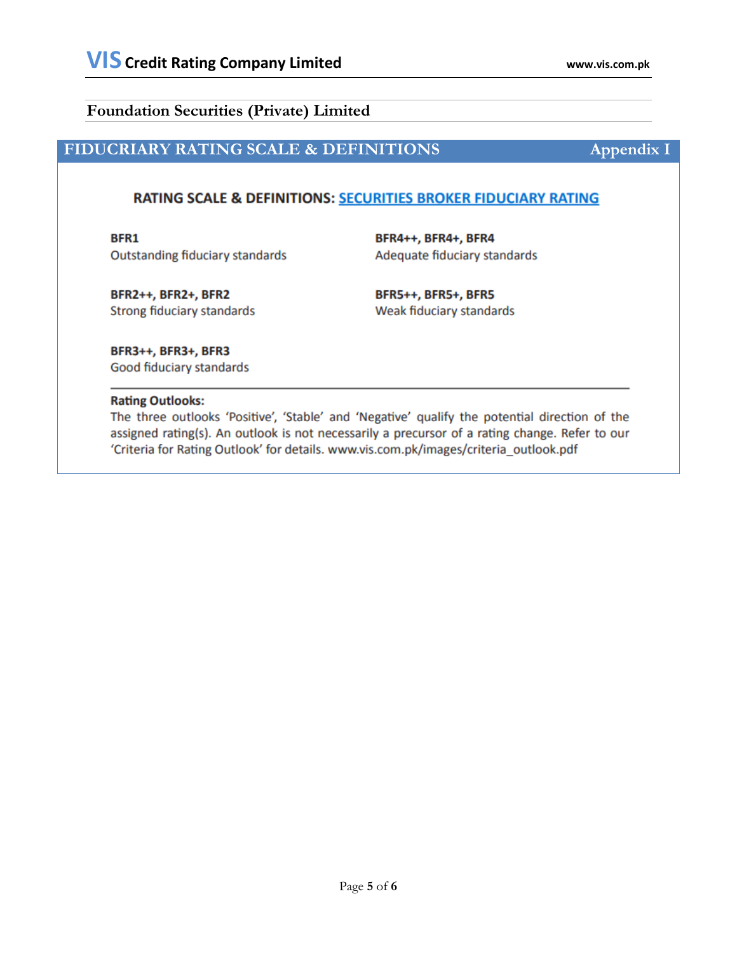# **FIDUCRIARY RATING SCALE & DEFINITIONS Appendix I**

## RATING SCALE & DEFINITIONS: SECURITIES BROKER FIDUCIARY RATING

BFR1 **Outstanding fiduciary standards**  BFR4++, BFR4+, BFR4 Adequate fiduciary standards

**BFR2++, BFR2+, BFR2** Strong fiduciary standards **BFR5++, BFR5+, BFR5** Weak fiduciary standards

BFR3++, BFR3+, BFR3 Good fiduciary standards

#### **Rating Outlooks:**

The three outlooks 'Positive', 'Stable' and 'Negative' qualify the potential direction of the assigned rating(s). An outlook is not necessarily a precursor of a rating change. Refer to our 'Criteria for Rating Outlook' for details. www.vis.com.pk/images/criteria\_outlook.pdf